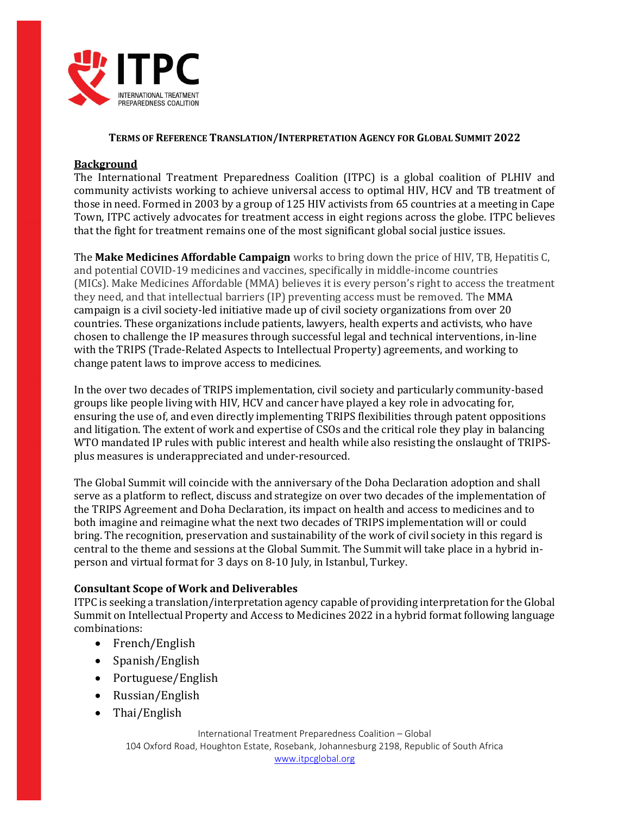

#### TERMS OF REFERENCE TRANSLATION/INTERPRETATION AGENCY FOR GLOBAL SUMMIT 2022

#### Background

The International Treatment Preparedness Coalition (ITPC) is a global coalition of PLHIV and community activists working to achieve universal access to optimal HIV, HCV and TB treatment of those in need. Formed in 2003 by a group of 125 HIV activists from 65 countries at a meeting in Cape Town, ITPC actively advocates for treatment access in eight regions across the globe. ITPC believes that the fight for treatment remains one of the most significant global social justice issues.

The Make Medicines Affordable Campaign works to bring down the price of HIV, TB, Hepatitis C, and potential COVID-19 medicines and vaccines, specifically in middle-income countries (MICs). Make Medicines Affordable (MMA) believes it is every person's right to access the treatment they need, and that intellectual barriers (IP) preventing access must be removed. The MMA campaign is a civil society-led initiative made up of civil society organizations from over 20 countries. These organizations include patients, lawyers, health experts and activists, who have chosen to challenge the IP measures through successful legal and technical interventions, in-line with the TRIPS (Trade-Related Aspects to Intellectual Property) agreements, and working to change patent laws to improve access to medicines.

In the over two decades of TRIPS implementation, civil society and particularly community-based groups like people living with HIV, HCV and cancer have played a key role in advocating for, ensuring the use of, and even directly implementing TRIPS flexibilities through patent oppositions and litigation. The extent of work and expertise of CSOs and the critical role they play in balancing WTO mandated IP rules with public interest and health while also resisting the onslaught of TRIPSplus measures is underappreciated and under-resourced.

The Global Summit will coincide with the anniversary of the Doha Declaration adoption and shall serve as a platform to reflect, discuss and strategize on over two decades of the implementation of the TRIPS Agreement and Doha Declaration, its impact on health and access to medicines and to both imagine and reimagine what the next two decades of TRIPS implementation will or could bring. The recognition, preservation and sustainability of the work of civil society in this regard is central to the theme and sessions at the Global Summit. The Summit will take place in a hybrid inperson and virtual format for 3 days on 8-10 July, in Istanbul, Turkey.

### Consultant Scope of Work and Deliverables

ITPC is seeking a translation/interpretation agency capable of providing interpretation for the Global Summit on Intellectual Property and Access to Medicines 2022 in a hybrid format following language combinations:

- French/English
- Spanish/English
- Portuguese/English
- Russian/English
- Thai/English

International Treatment Preparedness Coalition – Global 104 Oxford Road, Houghton Estate, Rosebank, Johannesburg 2198, Republic of South Africa www.itpcglobal.org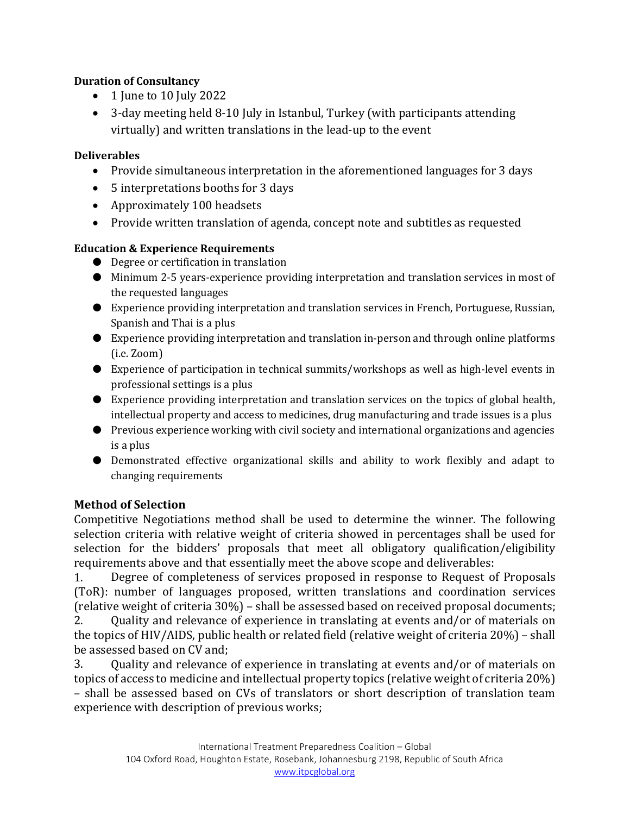## Duration of Consultancy

- $\bullet$  1 June to 10 July 2022
- 3-day meeting held 8-10 July in Istanbul, Turkey (with participants attending virtually) and written translations in the lead-up to the event

## Deliverables

- Provide simultaneous interpretation in the aforementioned languages for 3 days
- 5 interpretations booths for 3 days
- Approximately 100 headsets
- Provide written translation of agenda, concept note and subtitles as requested

# Education & Experience Requirements

- Degree or certification in translation
- Minimum 2-5 years-experience providing interpretation and translation services in most of the requested languages
- Experience providing interpretation and translation services in French, Portuguese, Russian, Spanish and Thai is a plus
- Experience providing interpretation and translation in-person and through online platforms (i.e. Zoom)
- Experience of participation in technical summits/workshops as well as high-level events in professional settings is a plus
- Experience providing interpretation and translation services on the topics of global health, intellectual property and access to medicines, drug manufacturing and trade issues is a plus
- Previous experience working with civil society and international organizations and agencies is a plus
- Demonstrated effective organizational skills and ability to work flexibly and adapt to changing requirements

# Method of Selection

Competitive Negotiations method shall be used to determine the winner. The following selection criteria with relative weight of criteria showed in percentages shall be used for selection for the bidders' proposals that meet all obligatory qualification/eligibility requirements above and that essentially meet the above scope and deliverables:

1. Degree of completeness of services proposed in response to Request of Proposals (ToR): number of languages proposed, written translations and coordination services (relative weight of criteria 30%) – shall be assessed based on received proposal documents;

2. Quality and relevance of experience in translating at events and/or of materials on the topics of HIV/AIDS, public health or related field (relative weight of criteria 20%) – shall be assessed based on CV and;

3. Quality and relevance of experience in translating at events and/or of materials on topics of access to medicine and intellectual property topics (relative weight of criteria 20%) – shall be assessed based on CVs of translators or short description of translation team experience with description of previous works;